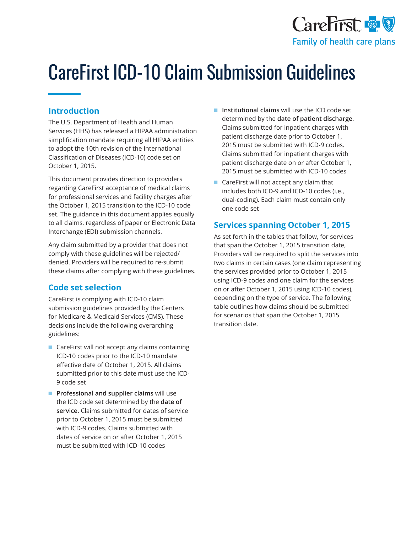

# CareFirst ICD-10 Claim Submission Guidelines

## **Introduction**

The U.S. Department of Health and Human Services (HHS) has released a HIPAA administration simplification mandate requiring all HIPAA entities to adopt the 10th revision of the International Classification of Diseases (ICD-10) code set on October 1, 2015.

This document provides direction to providers regarding CareFirst acceptance of medical claims for professional services and facility charges after the October 1, 2015 transition to the ICD-10 code set. The guidance in this document applies equally to all claims, regardless of paper or Electronic Data Interchange (EDI) submission channels.

Any claim submitted by a provider that does not comply with these guidelines will be rejected/ denied. Providers will be required to re-submit these claims after complying with these guidelines.

## **Code set selection**

CareFirst is complying with ICD-10 claim submission guidelines provided by the Centers for Medicare & Medicaid Services (CMS). These decisions include the following overarching guidelines:

- CareFirst will not accept any claims containing ICD-10 codes prior to the ICD-10 mandate effective date of October 1, 2015. All claims submitted prior to this date must use the ICD-9 code set
- **Professional and supplier claims** will use the ICD code set determined by the **date of service**. Claims submitted for dates of service prior to October 1, 2015 must be submitted with ICD-9 codes. Claims submitted with dates of service on or after October 1, 2015 must be submitted with ICD-10 codes
- **Institutional claims** will use the ICD code set determined by the **date of patient discharge**. Claims submitted for inpatient charges with patient discharge date prior to October 1, 2015 must be submitted with ICD-9 codes. Claims submitted for inpatient charges with patient discharge date on or after October 1, 2015 must be submitted with ICD-10 codes
- CareFirst will not accept any claim that includes both ICD-9 and ICD-10 codes (i.e., dual-coding). Each claim must contain only one code set

## **Services spanning October 1, 2015**

As set forth in the tables that follow, for services that span the October 1, 2015 transition date, Providers will be required to split the services into two claims in certain cases (one claim representing the services provided prior to October 1, 2015 using ICD-9 codes and one claim for the services on or after October 1, 2015 using ICD-10 codes), depending on the type of service. The following table outlines how claims should be submitted for scenarios that span the October 1, 2015 transition date.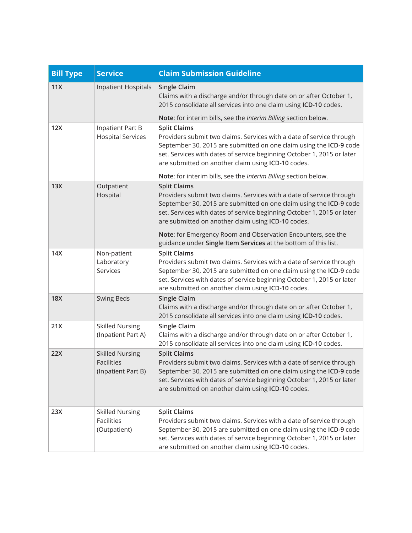| <b>Bill Type</b> | <b>Service</b>                                                    | <b>Claim Submission Guideline</b>                                                                                                                                                                                                                                                                 |
|------------------|-------------------------------------------------------------------|---------------------------------------------------------------------------------------------------------------------------------------------------------------------------------------------------------------------------------------------------------------------------------------------------|
| 11X              | <b>Inpatient Hospitals</b>                                        | <b>Single Claim</b><br>Claims with a discharge and/or through date on or after October 1,<br>2015 consolidate all services into one claim using ICD-10 codes.                                                                                                                                     |
|                  |                                                                   | Note: for interim bills, see the Interim Billing section below.                                                                                                                                                                                                                                   |
| 12X              | Inpatient Part B<br><b>Hospital Services</b>                      | <b>Split Claims</b><br>Providers submit two claims. Services with a date of service through<br>September 30, 2015 are submitted on one claim using the ICD-9 code<br>set. Services with dates of service beginning October 1, 2015 or later<br>are submitted on another claim using ICD-10 codes. |
|                  |                                                                   | Note: for interim bills, see the Interim Billing section below.                                                                                                                                                                                                                                   |
| 13X              | Outpatient<br>Hospital                                            | <b>Split Claims</b><br>Providers submit two claims. Services with a date of service through<br>September 30, 2015 are submitted on one claim using the ICD-9 code<br>set. Services with dates of service beginning October 1, 2015 or later<br>are submitted on another claim using ICD-10 codes. |
|                  |                                                                   | Note: for Emergency Room and Observation Encounters, see the<br>guidance under Single Item Services at the bottom of this list.                                                                                                                                                                   |
| 14X              | Non-patient<br>Laboratory<br>Services                             | <b>Split Claims</b><br>Providers submit two claims. Services with a date of service through<br>September 30, 2015 are submitted on one claim using the ICD-9 code<br>set. Services with dates of service beginning October 1, 2015 or later<br>are submitted on another claim using ICD-10 codes. |
| <b>18X</b>       | <b>Swing Beds</b>                                                 | <b>Single Claim</b><br>Claims with a discharge and/or through date on or after October 1,<br>2015 consolidate all services into one claim using ICD-10 codes.                                                                                                                                     |
| 21X              | <b>Skilled Nursing</b><br>(Inpatient Part A)                      | <b>Single Claim</b><br>Claims with a discharge and/or through date on or after October 1,<br>2015 consolidate all services into one claim using ICD-10 codes.                                                                                                                                     |
| 22X              | <b>Skilled Nursing</b><br><b>Facilities</b><br>(Inpatient Part B) | <b>Split Claims</b><br>Providers submit two claims. Services with a date of service through<br>September 30, 2015 are submitted on one claim using the ICD-9 code<br>set. Services with dates of service beginning October 1, 2015 or later<br>are submitted on another claim using ICD-10 codes. |
| 23X              | <b>Skilled Nursing</b><br><b>Facilities</b><br>(Outpatient)       | <b>Split Claims</b><br>Providers submit two claims. Services with a date of service through<br>September 30, 2015 are submitted on one claim using the ICD-9 code<br>set. Services with dates of service beginning October 1, 2015 or later<br>are submitted on another claim using ICD-10 codes. |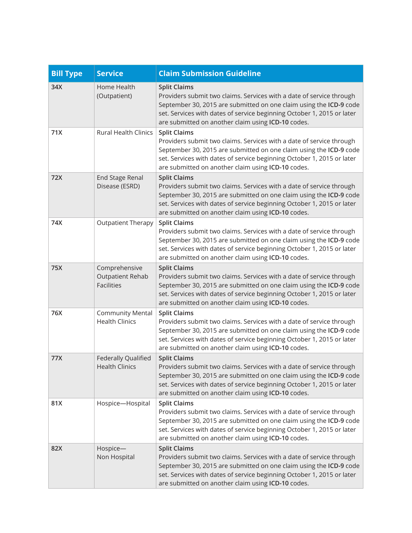| <b>Bill Type</b> | <b>Service</b>                                                | <b>Claim Submission Guideline</b>                                                                                                                                                                                                                                                                 |
|------------------|---------------------------------------------------------------|---------------------------------------------------------------------------------------------------------------------------------------------------------------------------------------------------------------------------------------------------------------------------------------------------|
| 34X              | Home Health<br>(Outpatient)                                   | <b>Split Claims</b><br>Providers submit two claims. Services with a date of service through<br>September 30, 2015 are submitted on one claim using the ICD-9 code<br>set. Services with dates of service beginning October 1, 2015 or later<br>are submitted on another claim using ICD-10 codes. |
| 71X              | <b>Rural Health Clinics</b>                                   | <b>Split Claims</b><br>Providers submit two claims. Services with a date of service through<br>September 30, 2015 are submitted on one claim using the ICD-9 code<br>set. Services with dates of service beginning October 1, 2015 or later<br>are submitted on another claim using ICD-10 codes. |
| 72X              | <b>End Stage Renal</b><br>Disease (ESRD)                      | <b>Split Claims</b><br>Providers submit two claims. Services with a date of service through<br>September 30, 2015 are submitted on one claim using the ICD-9 code<br>set. Services with dates of service beginning October 1, 2015 or later<br>are submitted on another claim using ICD-10 codes. |
| 74X              | <b>Outpatient Therapy</b>                                     | <b>Split Claims</b><br>Providers submit two claims. Services with a date of service through<br>September 30, 2015 are submitted on one claim using the ICD-9 code<br>set. Services with dates of service beginning October 1, 2015 or later<br>are submitted on another claim using ICD-10 codes. |
| 75X              | Comprehensive<br><b>Outpatient Rehab</b><br><b>Facilities</b> | <b>Split Claims</b><br>Providers submit two claims. Services with a date of service through<br>September 30, 2015 are submitted on one claim using the ICD-9 code<br>set. Services with dates of service beginning October 1, 2015 or later<br>are submitted on another claim using ICD-10 codes. |
| 76X              | <b>Community Mental</b><br><b>Health Clinics</b>              | <b>Split Claims</b><br>Providers submit two claims. Services with a date of service through<br>September 30, 2015 are submitted on one claim using the ICD-9 code<br>set. Services with dates of service beginning October 1, 2015 or later<br>are submitted on another claim using ICD-10 codes. |
| 77X              | Federally Qualified<br><b>Health Clinics</b>                  | <b>Split Claims</b><br>Providers submit two claims. Services with a date of service through<br>September 30, 2015 are submitted on one claim using the ICD-9 code<br>set. Services with dates of service beginning October 1, 2015 or later<br>are submitted on another claim using ICD-10 codes. |
| 81X              | Hospice-Hospital                                              | <b>Split Claims</b><br>Providers submit two claims. Services with a date of service through<br>September 30, 2015 are submitted on one claim using the ICD-9 code<br>set. Services with dates of service beginning October 1, 2015 or later<br>are submitted on another claim using ICD-10 codes. |
| 82X              | Hospice-<br>Non Hospital                                      | <b>Split Claims</b><br>Providers submit two claims. Services with a date of service through<br>September 30, 2015 are submitted on one claim using the ICD-9 code<br>set. Services with dates of service beginning October 1, 2015 or later<br>are submitted on another claim using ICD-10 codes. |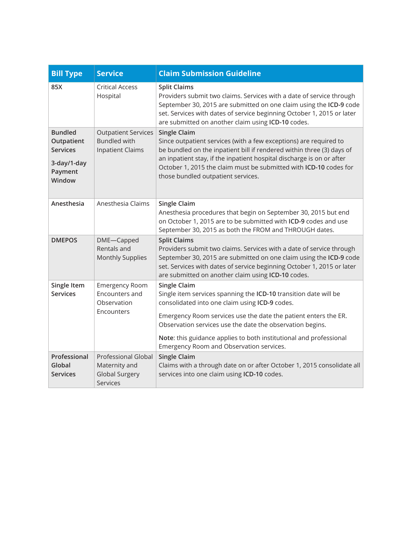| <b>Bill Type</b>                                                                    | <b>Service</b>                                                                   | <b>Claim Submission Guideline</b>                                                                                                                                                                                                                                                                                                                                                           |
|-------------------------------------------------------------------------------------|----------------------------------------------------------------------------------|---------------------------------------------------------------------------------------------------------------------------------------------------------------------------------------------------------------------------------------------------------------------------------------------------------------------------------------------------------------------------------------------|
| 85X                                                                                 | <b>Critical Access</b><br>Hospital                                               | <b>Split Claims</b><br>Providers submit two claims. Services with a date of service through<br>September 30, 2015 are submitted on one claim using the ICD-9 code<br>set. Services with dates of service beginning October 1, 2015 or later<br>are submitted on another claim using ICD-10 codes.                                                                                           |
| <b>Bundled</b><br>Outpatient<br><b>Services</b><br>3-day/1-day<br>Payment<br>Window | <b>Outpatient Services</b><br><b>Bundled with</b><br><b>Inpatient Claims</b>     | <b>Single Claim</b><br>Since outpatient services (with a few exceptions) are required to<br>be bundled on the inpatient bill if rendered within three (3) days of<br>an inpatient stay, if the inpatient hospital discharge is on or after<br>October 1, 2015 the claim must be submitted with ICD-10 codes for<br>those bundled outpatient services.                                       |
| Anesthesia                                                                          | Anesthesia Claims                                                                | <b>Single Claim</b><br>Anesthesia procedures that begin on September 30, 2015 but end<br>on October 1, 2015 are to be submitted with ICD-9 codes and use<br>September 30, 2015 as both the FROM and THROUGH dates.                                                                                                                                                                          |
| <b>DMEPOS</b>                                                                       | DME-Capped<br>Rentals and<br><b>Monthly Supplies</b>                             | <b>Split Claims</b><br>Providers submit two claims. Services with a date of service through<br>September 30, 2015 are submitted on one claim using the ICD-9 code<br>set. Services with dates of service beginning October 1, 2015 or later<br>are submitted on another claim using ICD-10 codes.                                                                                           |
| Single Item<br><b>Services</b>                                                      | <b>Emergency Room</b><br>Encounters and<br>Observation<br>Encounters             | <b>Single Claim</b><br>Single item services spanning the ICD-10 transition date will be<br>consolidated into one claim using ICD-9 codes.<br>Emergency Room services use the date the patient enters the ER.<br>Observation services use the date the observation begins.<br>Note: this guidance applies to both institutional and professional<br>Emergency Room and Observation services. |
| Professional<br>Global<br><b>Services</b>                                           | <b>Professional Global</b><br>Maternity and<br><b>Global Surgery</b><br>Services | <b>Single Claim</b><br>Claims with a through date on or after October 1, 2015 consolidate all<br>services into one claim using ICD-10 codes.                                                                                                                                                                                                                                                |